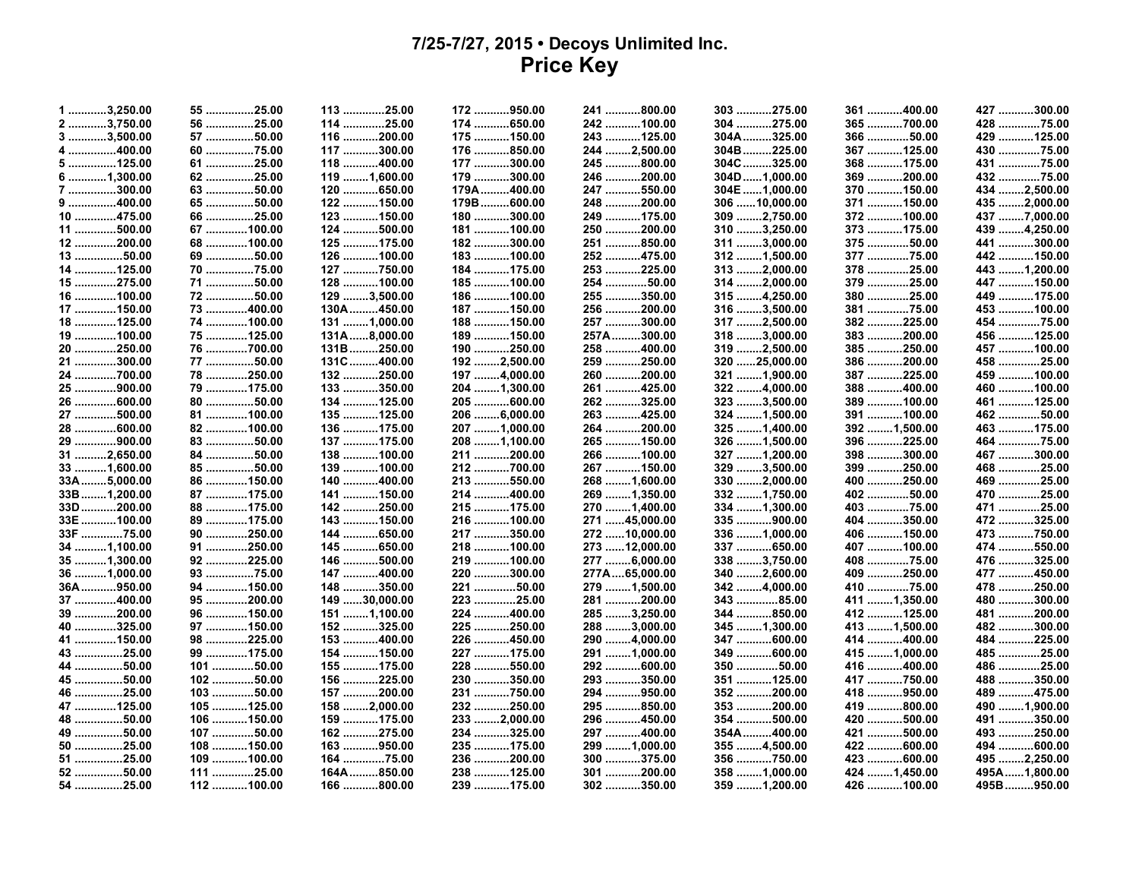## **7/25-7/27, 2015 • Decoys Unlimited Inc. Price Key**

| 1 3,250.00  | 55 25.00   | 113 25.00     | 172 950.00    | 241 800.00    | 303 275.00    | 361 400.00    | 427 300.00     |
|-------------|------------|---------------|---------------|---------------|---------------|---------------|----------------|
| 2 3,750.00  | 56 25.00   | 114 25.00     | 174 650.00    | 242 100.00    | 304 275.00    | 365 700.00    | 428 75.00      |
| 3 3,500.00  | 57 50.00   | 116 200.00    | 175 150.00    | 243 125.00    | 304A325.00    | 366 50.00     | 429 125.00     |
| 4 400.00    | 60 75.00   | 117 300.00    | 176 850.00    | 244 2,500.00  | 304B225.00    | 367 125.00    | 430 75.00      |
| 5 125.00    | 61 25.00   | 118 400.00    | 177 300.00    | 245 800.00    | 304C325.00    | 368 175.00    | 431 75.00      |
| 6 1,300.00  | 62 25.00   | 119  1,600.00 | 179 300.00    | 246 200.00    | 304D1,000.00  | 369 200.00    | 432 75.00      |
| 7 300.00    | 63 50.00   | 120 650.00    | 179A400.00    | 247 550.00    | 304E 1,000.00 | 370 150.00    | 434 2,500.00   |
| 9 400.00    | 65 50.00   | 122 150.00    | 179B600.00    | 248 200.00    | 306 10,000.00 | 371 150.00    | 435 2,000.00   |
| 10 475.00   | 66 25.00   | 123 150.00    | 180 300.00    | 249 175.00    | 309 2,750.00  | 372 100.00    | 437 7,000.00   |
| 11 500.00   | 67 100.00  | 124 500.00    | 181 100.00    | 250 200.00    | 310 3,250.00  | 373 175.00    | 439 4,250.00   |
| 12 200.00   | 68 100.00  | 125 175.00    | 182 300.00    | 251 850.00    | 311 3,000.00  | 375 50.00     | 441 300.00     |
| 13 50.00    | 69 50.00   | 126 100.00    | 183 100.00    | 252 475.00    | 312 1,500.00  | 377 75.00     | 442 150.00     |
| 14 125.00   | 70 75.00   | 127 750.00    | 184 175.00    | 253 225.00    | 313 2,000.00  | 378 25.00     | 443 1,200.00   |
| 15 275.00   | 71 50.00   | 128 100.00    | 185 100.00    | 254 50.00     | 314 2,000.00  | 379 25.00     | 447 150.00     |
| 16 100.00   | 72 50.00   | 129 3,500.00  | 186 100.00    | 255 350.00    | 315 4,250.00  | 380 25.00     | 449 175.00     |
| 17 150.00   | 73 400.00  | 130A450.00    | 187  150.00   | 256 200.00    | 316 3,500.00  | 381 75.00     | 453 100.00     |
| 18 125.00   | 74 100.00  | 131 1,000.00  | 188 150.00    | 257 300.00    | 317 2,500.00  | 382 225.00    | 454 75.00      |
| 19 100.00   | 75 125.00  | 131A8,000.00  | 189  150.00   | 257A 300.00   | 318 3,000.00  | 383 200.00    | 456 125.00     |
| 20 250.00   | 76 700.00  | 131B250.00    | 190 250.00    | 258 400.00    | 319 2,500.00  | 385 250.00    | 457 100.00     |
| 21 300.00   | 77 50.00   | 131C400.00    | 192 2,500.00  | 259 250.00    | 320 25,000.00 | 386 200.00    | 458 25.00      |
| 24 700.00   | 78 250.00  | 132 250.00    | 197 4,000.00  | 260 200.00    | 321 1,900.00  | 387 225.00    | 459 100.00     |
| 25 900.00   | 79 175.00  | 133 350.00    | 204 1,300.00  | 261 425.00    | 322 4,000.00  | 388 400.00    | 460 100.00     |
| 26 600.00   | 80 50.00   | 134 125.00    | 205 600.00    | 262 325.00    | 323 3,500.00  | 389 100.00    | 461 125.00     |
| 27 500.00   | 81 100.00  | 135 125.00    | 206 6,000.00  | 263 425.00    | 324 1,500.00  | 391 100.00    | 462 50.00      |
| 28 600.00   | 82 100.00  | 136 175.00    | 207  1,000.00 | 264 200.00    | 325 1,400.00  | 392  1,500.00 | 463 175.00     |
| 29 900.00   | 83 50.00   | 137 175.00    | 208 1,100.00  | 265 150.00    | 326 1,500.00  | 396 225.00    | 464 75.00      |
| 31 2,650.00 | 84 50.00   | 138 100.00    | 211 200.00    | 266 100.00    | 327 1,200.00  | 398 300.00    | 467 300.00     |
| 33 1,600.00 | 85 50.00   | 139 100.00    | 212 700.00    | 267 150.00    | 329 3,500.00  | 399 250.00    | 468 25.00      |
| 33A5,000.00 | 86 150.00  | 140 400.00    | 213 550.00    | 268  1,600.00 | 330 2,000.00  | 400 250.00    | 469 25.00      |
| 33B1,200.00 | 87 175.00  | 141 150.00    | 214 400.00    | 269  1,350.00 | 332 1,750.00  | 402 50.00     | 470 25.00      |
| 33D200.00   | 88 175.00  | 142 250.00    | 215 175.00    | 270  1,400.00 | 334 1,300.00  | 403 75.00     | 471 25.00      |
| 33E 100.00  | 89 175.00  | 143 150.00    | 216 100.00    | 271 45,000.00 | 335 900.00    | 404 350.00    | 472 325.00     |
| 33F 75.00   | 90 250.00  | 144 650.00    | 217 350.00    | 272 10,000.00 | 336  1,000.00 | 406 150.00    | 473 750.00     |
| 34 1,100.00 | 91 250.00  | 145 650.00    | 218 100.00    | 273 12,000.00 | 337 650.00    | 407 100.00    | 474 550.00     |
| 35 1,300.00 | 92 225.00  | 146 500.00    | 219 100.00    | 277 6,000.00  | 338 3,750.00  | 408 75.00     | 476 325.00     |
| 36 1,000.00 | 93 75.00   | 147 400.00    | 220 300.00    | 277A65,000.00 | 340 2,600.00  | 409 250.00    | 477 450.00     |
| 36A950.00   | 94 150.00  | 148 350.00    | 221 50.00     | 279  1,500.00 | 342 4,000.00  | 410 75.00     | 478 250.00     |
| 37 400.00   | 95 200.00  | 149 30,000.00 | 223 25.00     | 281 200.00    | 343 85.00     | 411 1,350.00  | 480 300.00     |
| 39 200.00   | 96 150.00  | 151 1,100.00  | 224 400.00    | 285 3,250.00  | 344 850.00    | 412 125.00    | 481 200.00     |
| 40 325.00   | 97 150.00  | 152 325.00    | 225 250.00    | 288 3,000.00  | 345 1,300.00  | 413  1,500.00 | 482 300.00     |
| 41 150.00   | 98 225.00  | 153 400.00    | 226 450.00    | 290 4,000.00  | 347 600.00    | 414 400.00    | 484 225.00     |
| 43 25.00    | 99 175.00  | 154 150.00    | 227 175.00    | 291  1,000.00 | 349 600.00    | 415  1,000.00 | 485 25.00      |
| 44 50.00    | 101 50.00  | 155 175.00    | 228 550.00    | 292 600.00    | 350 50.00     | 416 400.00    | 486 25.00      |
| 45 50.00    | 102 50.00  | 156 225.00    | 230 350.00    | 293 350.00    | 351 125.00    | 417 750.00    | 488 350.00     |
| 46 25.00    | 103 50.00  | 157 200.00    | 231 750.00    | 294 950.00    | 352 200.00    | 418 950.00    | 489 475.00     |
| 47 125.00   | 105 125.00 | 158 2,000.00  | 232 250.00    | 295 850.00    | 353 200.00    | 419 800.00    | 490  1,900.00  |
| 48 50.00    | 106 150.00 | 159 175.00    | 233 2,000.00  | 296 450.00    | 354 500.00    | 420 500.00    | 491 350.00     |
| 49 50.00    | 107 50.00  | 162 275.00    | 234 325.00    | 297 400.00    | 354A 400.00   | 421 500.00    | 493 250.00     |
| 50 25.00    | 108 150.00 | 163 950.00    | 235 175.00    | 299 1,000.00  | 355 4,500.00  | 422 600.00    | 494 600.00     |
| 51 25.00    | 109 100.00 | 164 75.00     | 236 200.00    | 300 375.00    | 356 750.00    | 423 600.00    | 495 2,250.00   |
| 52 50.00    | 111 25.00  | 164A 850.00   | 238 125.00    | 301 200.00    | 358 1,000.00  | 424 1,450.00  | 495A  1,800.00 |
| 54 25.00    | 112 100.00 | 166 800.00    | 239 175.00    | 302 350.00    | 359 1,200.00  | 426 100.00    | 495B950.00     |
|             |            |               |               |               |               |               |                |